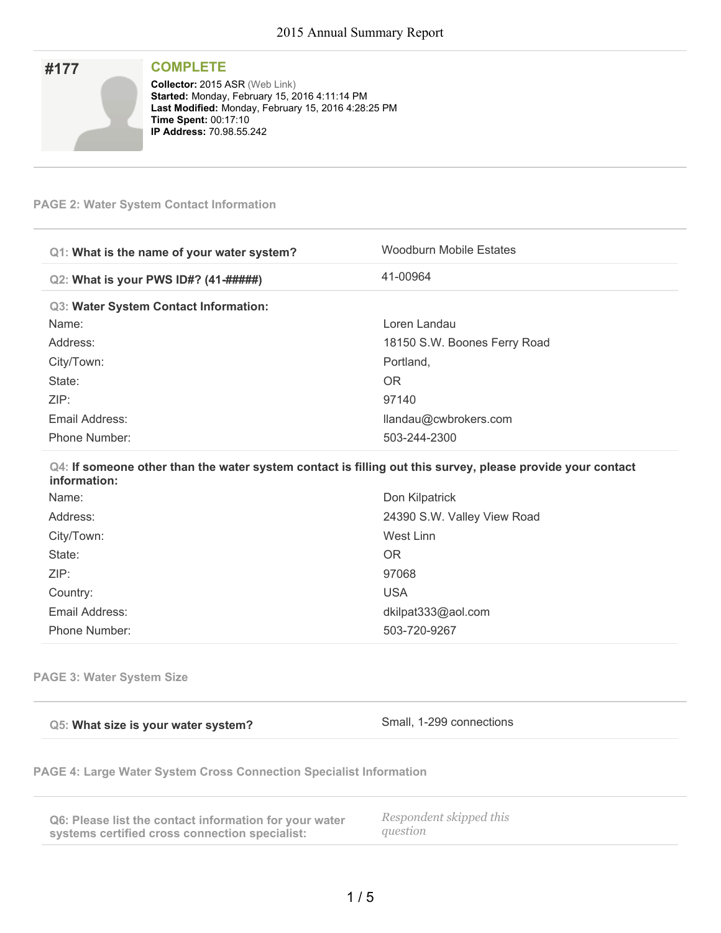| #177 | <b>COMPLETE</b>                                                                                      |
|------|------------------------------------------------------------------------------------------------------|
|      | <b>Collector: 2015 ASR (Web Link)</b>                                                                |
|      | Started: Monday, February 15, 2016 4:11:14 PM<br>Last Modified: Monday, February 15, 2016 4:28:25 PM |
|      | <b>Time Spent: 00:17:10</b>                                                                          |
|      | <b>IP Address: 70.98.55.242</b>                                                                      |

### **PAGE 2: Water System Contact Information**

| Q1: What is the name of your water system? | Woodburn Mobile Estates                                                                                    |
|--------------------------------------------|------------------------------------------------------------------------------------------------------------|
| Q2: What is your PWS ID#? (41-#####)       | 41-00964                                                                                                   |
| Q3: Water System Contact Information:      |                                                                                                            |
| Name:                                      | Loren Landau                                                                                               |
| Address:                                   | 18150 S.W. Boones Ferry Road                                                                               |
| City/Town:                                 | Portland,                                                                                                  |
| State:                                     | OR.                                                                                                        |
| ZIP:                                       | 97140                                                                                                      |
| Email Address:                             | llandau@cwbrokers.com                                                                                      |
| Phone Number:                              | 503-244-2300                                                                                               |
| information:                               | Q4: If someone other than the water system contact is filling out this survey, please provide your contact |
| <b>N</b> I = 1 = 2 = 2                     | $\sum_{i=1}^{n}  f_i ^2 \log  f_i  \leq  f_i $                                                             |

| Name:          | Don Kilpatrick              |
|----------------|-----------------------------|
| Address:       | 24390 S.W. Valley View Road |
| City/Town:     | West Linn                   |
| State:         | <b>OR</b>                   |
| ZIP:           | 97068                       |
| Country:       | <b>USA</b>                  |
| Email Address: | dkilpat333@aol.com          |
| Phone Number:  | 503-720-9267                |
|                |                             |

**PAGE 3: Water System Size**

|  |  |  |  |  |  | Q5: What size is your water system? |
|--|--|--|--|--|--|-------------------------------------|
|--|--|--|--|--|--|-------------------------------------|

**Small, 1-299 connections** 

**PAGE 4: Large Water System Cross Connection Specialist Information**

| Q6: Please list the contact information for your water | Respondent skipped this |
|--------------------------------------------------------|-------------------------|
| systems certified cross connection specialist:         | auestion                |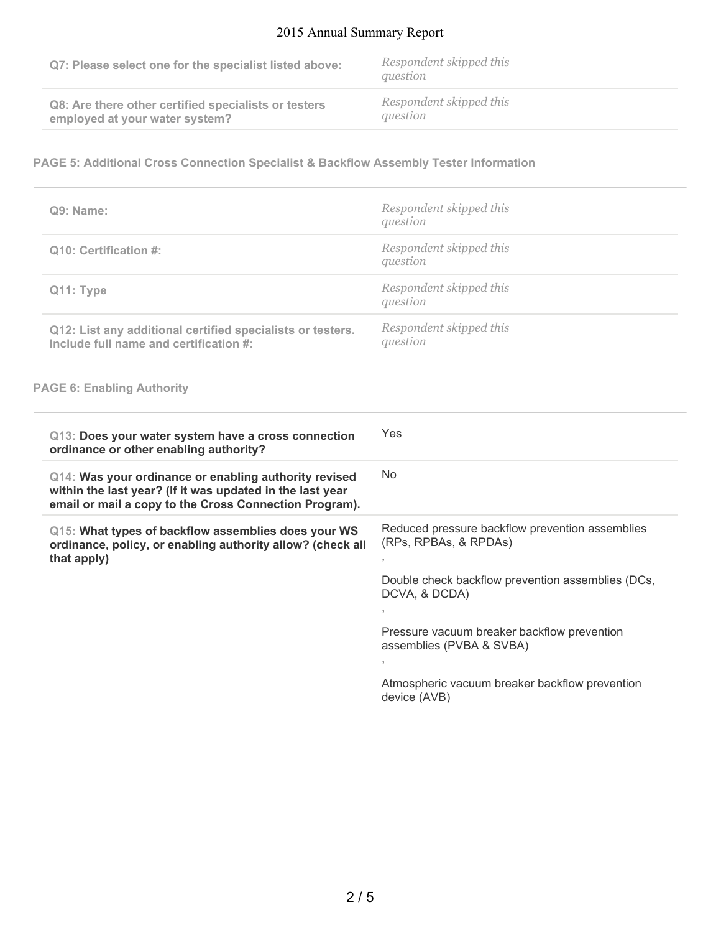## 2015 Annual Summary Report

| Q7: Please select one for the specialist listed above: | Respondent skipped this<br>question |
|--------------------------------------------------------|-------------------------------------|
| Q8: Are there other certified specialists or testers   | Respondent skipped this             |
| employed at your water system?                         | question                            |

#### **PAGE 5: Additional Cross Connection Specialist & Backflow Assembly Tester Information**

| Q9: Name:                                                                                            | Respondent skipped this<br>question |
|------------------------------------------------------------------------------------------------------|-------------------------------------|
| Q10: Certification #:                                                                                | Respondent skipped this<br>question |
| Q <sub>11</sub> : Type                                                                               | Respondent skipped this<br>question |
| Q12: List any additional certified specialists or testers.<br>Include full name and certification #: | Respondent skipped this<br>question |

#### **PAGE 6: Enabling Authority**

| Q13: Does your water system have a cross connection<br>ordinance or other enabling authority?                                                                                | Yes                                                                      |
|------------------------------------------------------------------------------------------------------------------------------------------------------------------------------|--------------------------------------------------------------------------|
| Q14: Was your ordinance or enabling authority revised<br>within the last year? (If it was updated in the last year<br>email or mail a copy to the Cross Connection Program). | No.                                                                      |
| Q15: What types of backflow assemblies does your WS<br>ordinance, policy, or enabling authority allow? (check all<br>that apply)                                             | Reduced pressure backflow prevention assemblies<br>(RPs, RPBAs, & RPDAs) |
|                                                                                                                                                                              | Double check backflow prevention assemblies (DCs,<br>DCVA, & DCDA)       |
|                                                                                                                                                                              | Pressure vacuum breaker backflow prevention<br>assemblies (PVBA & SVBA)  |
|                                                                                                                                                                              |                                                                          |
|                                                                                                                                                                              | Atmospheric vacuum breaker backflow prevention<br>device (AVB)           |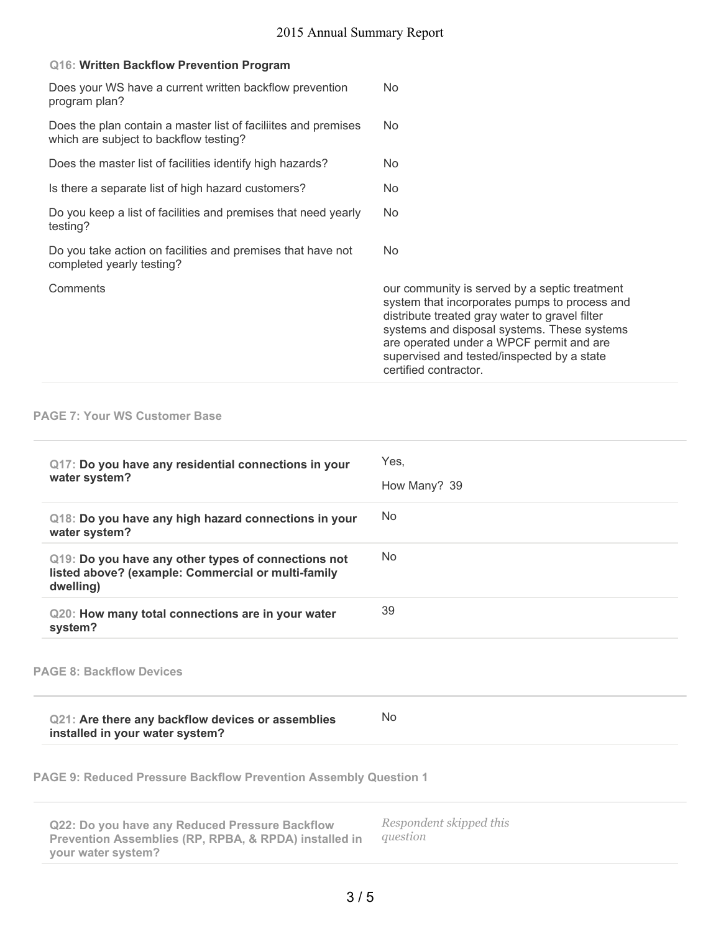|  |  |  | Q16: Written Backflow Prevention Program |  |
|--|--|--|------------------------------------------|--|
|--|--|--|------------------------------------------|--|

| Does your WS have a current written backflow prevention<br>program plan?                                 | N <sub>o</sub>                                                                                                                                                                                                                                                                                                     |
|----------------------------------------------------------------------------------------------------------|--------------------------------------------------------------------------------------------------------------------------------------------------------------------------------------------------------------------------------------------------------------------------------------------------------------------|
| Does the plan contain a master list of faciliites and premises<br>which are subject to backflow testing? | No.                                                                                                                                                                                                                                                                                                                |
| Does the master list of facilities identify high hazards?                                                | N <sub>o</sub>                                                                                                                                                                                                                                                                                                     |
| Is there a separate list of high hazard customers?                                                       | N <sub>o</sub>                                                                                                                                                                                                                                                                                                     |
| Do you keep a list of facilities and premises that need yearly<br>testing?                               | N <sub>o</sub>                                                                                                                                                                                                                                                                                                     |
| Do you take action on facilities and premises that have not<br>completed yearly testing?                 | N <sub>o</sub>                                                                                                                                                                                                                                                                                                     |
| Comments                                                                                                 | our community is served by a septic treatment<br>system that incorporates pumps to process and<br>distribute treated gray water to gravel filter<br>systems and disposal systems. These systems<br>are operated under a WPCF permit and are<br>supervised and tested/inspected by a state<br>certified contractor. |

#### **PAGE 7: Your WS Customer Base**

| Yes,<br>How Many? 39 |
|----------------------|
| N <sub>o</sub>       |
| N <sub>o</sub>       |
| 39                   |
|                      |
| No                   |
|                      |

**PAGE 9: Reduced Pressure Backflow Prevention Assembly Question 1**

| Q22: Do you have any Reduced Pressure Backflow                   | Respondent skipped this |
|------------------------------------------------------------------|-------------------------|
| <b>Prevention Assemblies (RP, RPBA, &amp; RPDA) installed in</b> | auestion                |
| your water system?                                               |                         |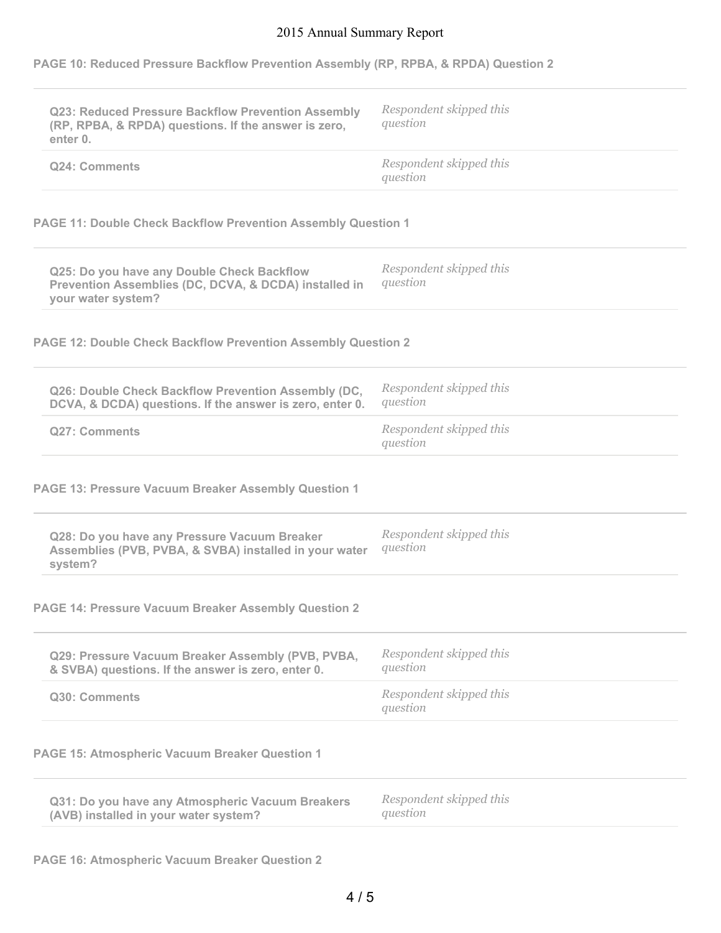# 2015 Annual Summary Report

|  |  |  |  |  | PAGE 10: Reduced Pressure Backflow Prevention Assembly (RP, RPBA, & RPDA) Question 2 |
|--|--|--|--|--|--------------------------------------------------------------------------------------|
|  |  |  |  |  |                                                                                      |

| Q23: Reduced Pressure Backflow Prevention Assembly                                                                        | Respondent skipped this<br>question |
|---------------------------------------------------------------------------------------------------------------------------|-------------------------------------|
| (RP, RPBA, & RPDA) questions. If the answer is zero,<br>enter 0.                                                          |                                     |
| Q24: Comments                                                                                                             | Respondent skipped this<br>question |
| <b>PAGE 11: Double Check Backflow Prevention Assembly Question 1</b>                                                      |                                     |
| Q25: Do you have any Double Check Backflow<br>Prevention Assemblies (DC, DCVA, & DCDA) installed in<br>your water system? | Respondent skipped this<br>question |
| <b>PAGE 12: Double Check Backflow Prevention Assembly Question 2</b>                                                      |                                     |
| Q26: Double Check Backflow Prevention Assembly (DC,<br>DCVA, & DCDA) questions. If the answer is zero, enter 0.           | Respondent skipped this<br>question |
| <b>Q27: Comments</b>                                                                                                      | Respondent skipped this<br>question |
| PAGE 13: Pressure Vacuum Breaker Assembly Question 1                                                                      |                                     |
| Q28: Do you have any Pressure Vacuum Breaker<br>Assemblies (PVB, PVBA, & SVBA) installed in your water<br>system?         | Respondent skipped this<br>question |
| <b>PAGE 14: Pressure Vacuum Breaker Assembly Question 2</b>                                                               |                                     |
| Q29: Pressure Vacuum Breaker Assembly (PVB, PVBA,<br>& SVBA) questions. If the answer is zero, enter 0.                   | Respondent skipped this<br>question |
| Q30: Comments                                                                                                             | Respondent skipped this<br>question |
| <b>PAGE 15: Atmospheric Vacuum Breaker Question 1</b>                                                                     |                                     |
| Q31: Do you have any Atmospheric Vacuum Breakers<br>(AVB) installed in your water system?                                 | Respondent skipped this<br>question |
|                                                                                                                           |                                     |